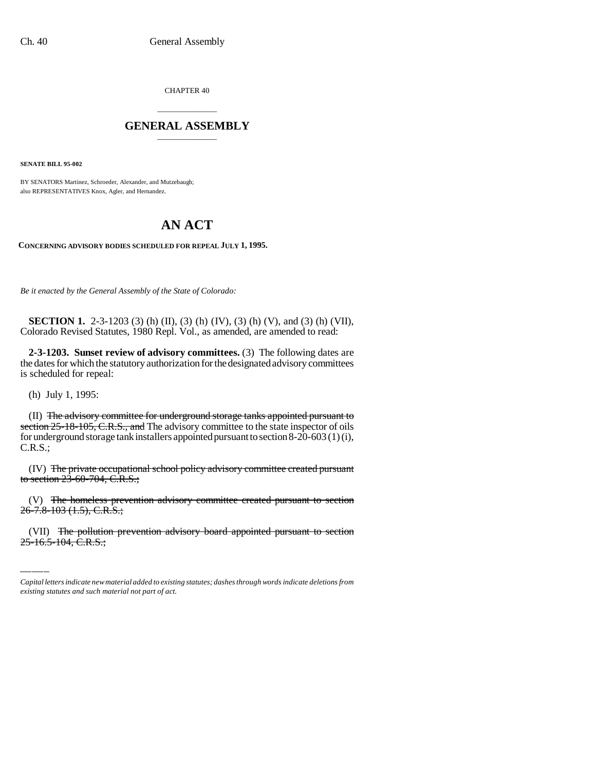CHAPTER 40

## \_\_\_\_\_\_\_\_\_\_\_\_\_\_\_ **GENERAL ASSEMBLY** \_\_\_\_\_\_\_\_\_\_\_\_\_\_\_

**SENATE BILL 95-002**

BY SENATORS Martinez, Schroeder, Alexander, and Mutzebaugh; also REPRESENTATIVES Knox, Agler, and Hernandez.

## **AN ACT**

**CONCERNING ADVISORY BODIES SCHEDULED FOR REPEAL JULY 1, 1995.**

*Be it enacted by the General Assembly of the State of Colorado:*

**SECTION 1.** 2-3-1203 (3) (h) (II), (3) (h) (IV), (3) (h) (V), and (3) (h) (VII), Colorado Revised Statutes, 1980 Repl. Vol., as amended, are amended to read:

**2-3-1203. Sunset review of advisory committees.** (3) The following dates are the dates for which the statutory authorization for the designated advisory committees is scheduled for repeal:

(h) July 1, 1995:

(II) The advisory committee for underground storage tanks appointed pursuant to section 25-18-105, C.R.S., and The advisory committee to the state inspector of oils for underground storage tank installers appointed pursuant to section 8-20-603 (1) (i), C.R.S.;

(IV) The private occupational school policy advisory committee created pursuant to section  $2\bar{3}$ -60-704, C.R.S.;

(V) The homeless prevention advisory committee created pursuant to section 26-7.8-103 (1.5), C.R.S.;

(VII) The pollution prevention advisory board appointed pursuant to section  $25 - 16.5 - 104$ , C.R.S.;

*Capital letters indicate new material added to existing statutes; dashes through words indicate deletions from existing statutes and such material not part of act.*